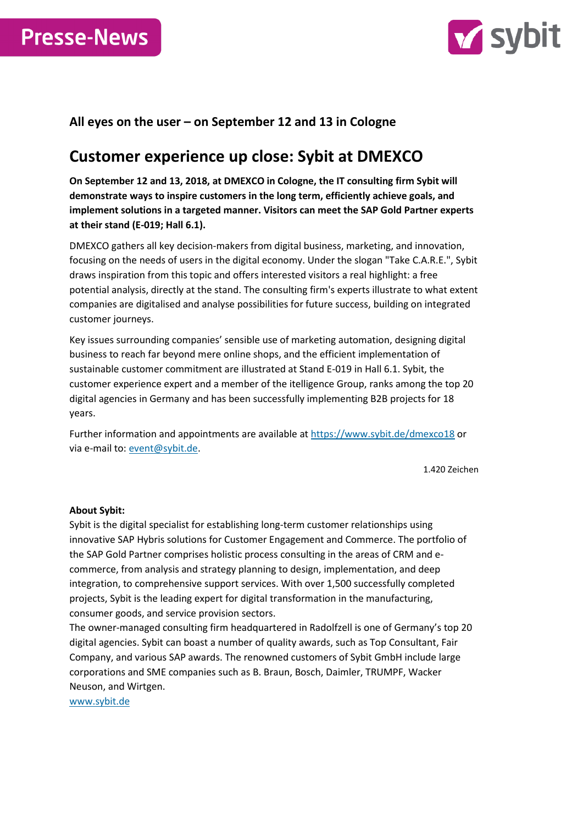



## **All eyes on the user – on September 12 and 13 in Cologne**

## **Customer experience up close: Sybit at DMEXCO**

**On September 12 and 13, 2018, at DMEXCO in Cologne, the IT consulting firm Sybit will demonstrate ways to inspire customers in the long term, efficiently achieve goals, and implement solutions in a targeted manner. Visitors can meet the SAP Gold Partner experts at their stand (E-019; Hall 6.1).**

DMEXCO gathers all key decision-makers from digital business, marketing, and innovation, focusing on the needs of users in the digital economy. Under the slogan "Take C.A.R.E.", Sybit draws inspiration from this topic and offers interested visitors a real highlight: a free potential analysis, directly at the stand. The consulting firm's experts illustrate to what extent companies are digitalised and analyse possibilities for future success, building on integrated customer journeys.

Key issues surrounding companies' sensible use of marketing automation, designing digital business to reach far beyond mere online shops, and the efficient implementation of sustainable customer commitment are illustrated at Stand E-019 in Hall 6.1. Sybit, the customer experience expert and a member of the itelligence Group, ranks among the top 20 digital agencies in Germany and has been successfully implementing B2B projects for 18 years.

Further information and appointments are available a[t https://www.sybit.de/dmexco18](https://www.sybit.de/dmexco18) or via e-mail to[: event@sybit.de.](mailto:event@sybit.de)

1.420 Zeichen

## **About Sybit:**

Sybit is the digital specialist for establishing long-term customer relationships using innovative SAP Hybris solutions for Customer Engagement and Commerce. The portfolio of the SAP Gold Partner comprises holistic process consulting in the areas of CRM and ecommerce, from analysis and strategy planning to design, implementation, and deep integration, to comprehensive support services. With over 1,500 successfully completed projects, Sybit is the leading expert for digital transformation in the manufacturing, consumer goods, and service provision sectors.

The owner-managed consulting firm headquartered in Radolfzell is one of Germany's top 20 digital agencies. Sybit can boast a number of quality awards, such as Top Consultant, Fair Company, and various SAP awards. The renowned customers of Sybit GmbH include large corporations and SME companies such as B. Braun, Bosch, Daimler, TRUMPF, Wacker Neuson, and Wirtgen.

[www.sybit.de](http://www.sybit.de/)